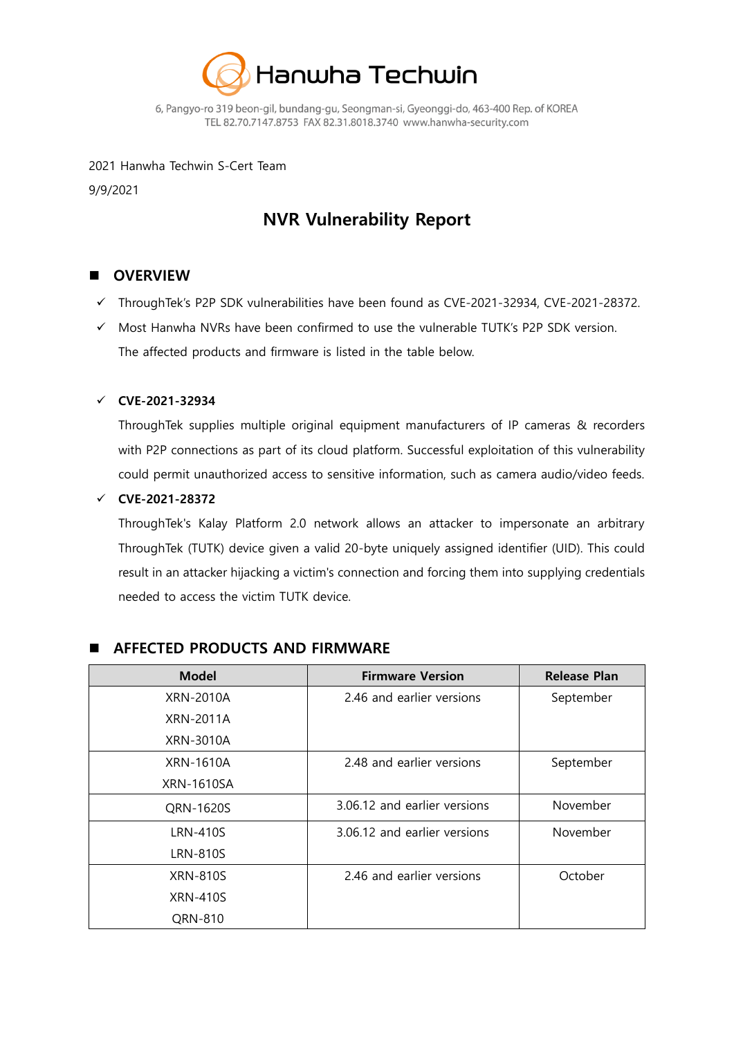

6, Pangyo-ro 319 beon-gil, bundang-gu, Seongman-si, Gyeonggi-do, 463-400 Rep. of KOREA TEL 82.70.7147.8753 FAX 82.31.8018.3740 www.hanwha-security.com

#### 2021 Hanwha Techwin S-Cert Team

9/9/2021

# **NVR Vulnerability Report**

## **OVERVIEW**

- ThroughTek's P2P SDK vulnerabilities have been found as CVE-2021-32934, CVE-2021-28372.
- $\checkmark$  Most Hanwha NVRs have been confirmed to use the vulnerable TUTK's P2P SDK version. The affected products and firmware is listed in the table below.

#### **CVE-2021-32934**

ThroughTek supplies multiple original equipment manufacturers of IP cameras & recorders with P2P connections as part of its cloud platform. Successful exploitation of this vulnerability could permit unauthorized access to sensitive information, such as camera audio/video feeds.

#### **CVE-2021-28372**

ThroughTek's Kalay Platform 2.0 network allows an attacker to impersonate an arbitrary ThroughTek (TUTK) device given a valid 20-byte uniquely assigned identifier (UID). This could result in an attacker hijacking a victim's connection and forcing them into supplying credentials needed to access the victim TUTK device.

| <b>Model</b>     | <b>Firmware Version</b>      | <b>Release Plan</b> |
|------------------|------------------------------|---------------------|
| XRN-2010A        | 2.46 and earlier versions    | September           |
| XRN-2011A        |                              |                     |
| XRN-3010A        |                              |                     |
| <b>XRN-1610A</b> | 2.48 and earlier versions    | September           |
| XRN-1610SA       |                              |                     |
| QRN-1620S        | 3.06.12 and earlier versions | November            |
| <b>LRN-410S</b>  | 3.06.12 and earlier versions | November            |
| <b>LRN-810S</b>  |                              |                     |
| <b>XRN-810S</b>  | 2.46 and earlier versions    | October             |
| <b>XRN-410S</b>  |                              |                     |
| QRN-810          |                              |                     |

### **AFFECTED PRODUCTS AND FIRMWARE**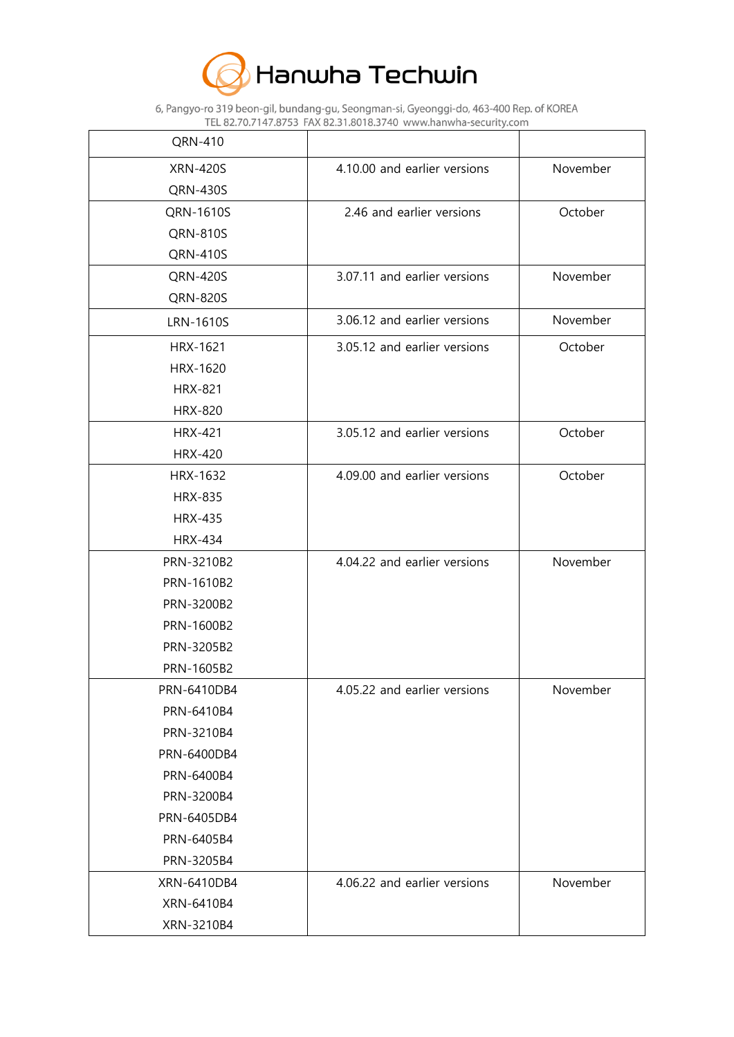

6, Pangyo-ro 319 beon-gil, bundang-gu, Seongman-si, Gyeonggi-do, 463-400 Rep. of KOREA<br>TEL 82.70.7147.8753 FAX 82.31.8018.3740 www.hanwha-security.com

| QRN-410          |                              |          |
|------------------|------------------------------|----------|
| <b>XRN-420S</b>  | 4.10.00 and earlier versions | November |
| <b>QRN-430S</b>  |                              |          |
| QRN-1610S        | 2.46 and earlier versions    | October  |
| <b>QRN-810S</b>  |                              |          |
| <b>QRN-410S</b>  |                              |          |
| <b>QRN-420S</b>  | 3.07.11 and earlier versions | November |
| QRN-820S         |                              |          |
| <b>LRN-1610S</b> | 3.06.12 and earlier versions | November |
| HRX-1621         | 3.05.12 and earlier versions | October  |
| HRX-1620         |                              |          |
| <b>HRX-821</b>   |                              |          |
| <b>HRX-820</b>   |                              |          |
| <b>HRX-421</b>   | 3.05.12 and earlier versions | October  |
| <b>HRX-420</b>   |                              |          |
| HRX-1632         | 4.09.00 and earlier versions | October  |
| <b>HRX-835</b>   |                              |          |
| <b>HRX-435</b>   |                              |          |
| <b>HRX-434</b>   |                              |          |
| PRN-3210B2       | 4.04.22 and earlier versions | November |
| PRN-1610B2       |                              |          |
| PRN-3200B2       |                              |          |
| PRN-1600B2       |                              |          |
| PRN-3205B2       |                              |          |
| PRN-1605B2       |                              |          |
| PRN-6410DB4      | 4.05.22 and earlier versions | November |
| PRN-6410B4       |                              |          |
| PRN-3210B4       |                              |          |
| PRN-6400DB4      |                              |          |
| PRN-6400B4       |                              |          |
| PRN-3200B4       |                              |          |
| PRN-6405DB4      |                              |          |
| PRN-6405B4       |                              |          |
| PRN-3205B4       |                              |          |
| XRN-6410DB4      | 4.06.22 and earlier versions | November |
| XRN-6410B4       |                              |          |
| XRN-3210B4       |                              |          |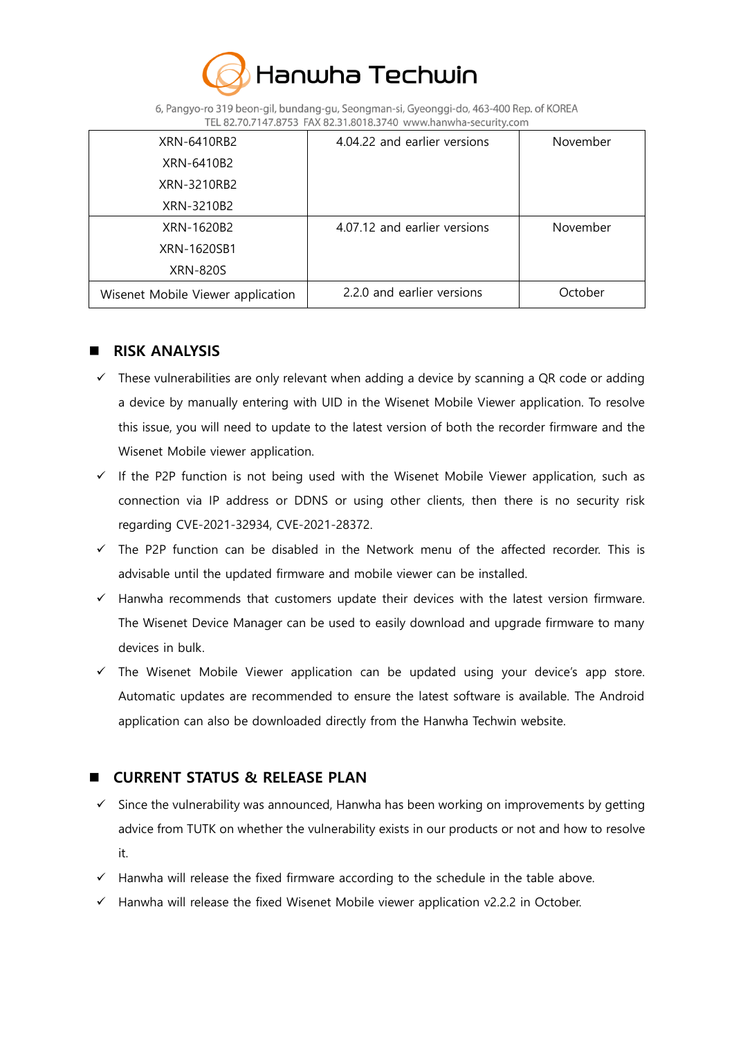

6, Pangyo-ro 319 beon-gil, bundang-gu, Seongman-si, Gyeonggi-do, 463-400 Rep. of KOREA TEL 82.70.7147.8753 FAX 82.31.8018.3740 www.hanwha-security.com

| XRN-6410RB2                       | 4.04.22 and earlier versions | November |
|-----------------------------------|------------------------------|----------|
| XRN-6410B2                        |                              |          |
| XRN-3210RB2                       |                              |          |
| XRN-3210B2                        |                              |          |
| XRN-1620B2                        | 4.07.12 and earlier versions | November |
| XRN-1620SB1                       |                              |          |
| XRN-820S                          |                              |          |
| Wisenet Mobile Viewer application | 2.2.0 and earlier versions   | October  |

## **RISK ANALYSIS**

- $\checkmark$  These vulnerabilities are only relevant when adding a device by scanning a QR code or adding a device by manually entering with UID in the Wisenet Mobile Viewer application. To resolve this issue, you will need to update to the latest version of both the recorder firmware and the Wisenet Mobile viewer application.
- $\checkmark$  If the P2P function is not being used with the Wisenet Mobile Viewer application, such as connection via IP address or DDNS or using other clients, then there is no security risk regarding CVE-2021-32934, CVE-2021-28372.
- $\checkmark$  The P2P function can be disabled in the Network menu of the affected recorder. This is advisable until the updated firmware and mobile viewer can be installed.
- $\checkmark$  Hanwha recommends that customers update their devices with the latest version firmware. The Wisenet Device Manager can be used to easily download and upgrade firmware to many devices in bulk.
- $\checkmark$  The Wisenet Mobile Viewer application can be updated using your device's app store. Automatic updates are recommended to ensure the latest software is available. The Android application can also be downloaded directly from the Hanwha Techwin website.

## **CURRENT STATUS & RELEASE PLAN**

- $\checkmark$  Since the vulnerability was announced, Hanwha has been working on improvements by getting advice from TUTK on whether the vulnerability exists in our products or not and how to resolve it.
- $\checkmark$  Hanwha will release the fixed firmware according to the schedule in the table above.
- $\checkmark$  Hanwha will release the fixed Wisenet Mobile viewer application v2.2.2 in October.